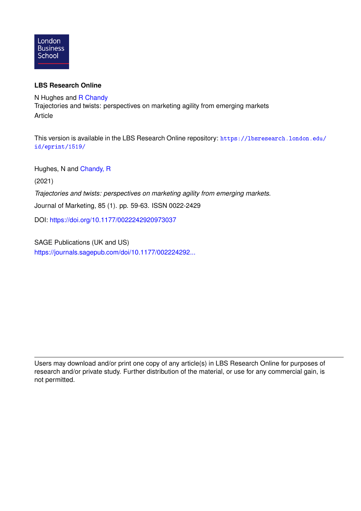

# **LBS Research Online**

N Hughes and [R Chandy](https://lbsresearch.london.edu/view/lbs_authors/1114072.html) Trajectories and twists: perspectives on marketing agility from emerging markets Article

This version is available in the LBS Research Online repository: [https://lbsresearch.london.edu/](https://lbsresearch.london.edu/id/eprint/1519/) [id/eprint/1519/](https://lbsresearch.london.edu/id/eprint/1519/)

Hughes, N and [Chandy, R](https://lbsresearch.london.edu/view/lbs_authors/1114072.html)

(2021)

*Trajectories and twists: perspectives on marketing agility from emerging markets.*

Journal of Marketing, 85 (1). pp. 59-63. ISSN 0022-2429

DOI: <https://doi.org/10.1177/0022242920973037>

SAGE Publications (UK and US) [https://journals.sagepub.com/doi/10.1177/002224292...](https://journals.sagepub.com/doi/10.1177/0022242920973037)

Users may download and/or print one copy of any article(s) in LBS Research Online for purposes of research and/or private study. Further distribution of the material, or use for any commercial gain, is not permitted.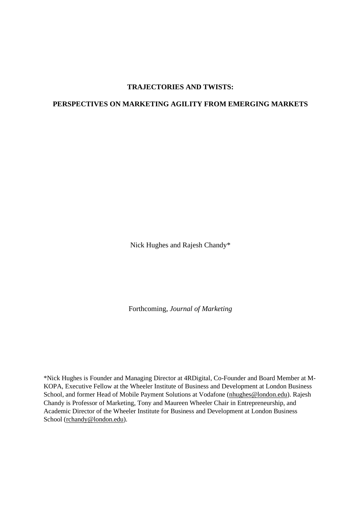# **TRAJECTORIES AND TWISTS:**

# **PERSPECTIVES ON MARKETING AGILITY FROM EMERGING MARKETS**

Nick Hughes and Rajesh Chandy\*

Forthcoming, *Journal of Marketing*

\*Nick Hughes is Founder and Managing Director at 4RDigital, Co-Founder and Board Member at M-KOPA, Executive Fellow at the Wheeler Institute of Business and Development at London Business School, and former Head of Mobile Payment Solutions at Vodafone [\(nhughes@london.edu\)](mailto:nhughes@london.edu). Rajesh Chandy is Professor of Marketing, Tony and Maureen Wheeler Chair in Entrepreneurship, and Academic Director of the Wheeler Institute for Business and Development at London Business School [\(rchandy@london.edu\)](mailto:rchandy@london.edu).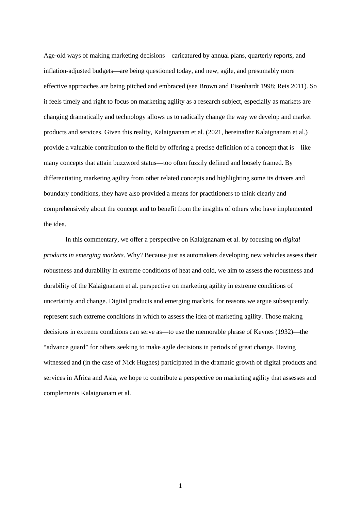Age-old ways of making marketing decisions—caricatured by annual plans, quarterly reports, and inflation-adjusted budgets—are being questioned today, and new, agile, and presumably more effective approaches are being pitched and embraced (see Brown and Eisenhardt 1998; Reis 2011). So it feels timely and right to focus on marketing agility as a research subject, especially as markets are changing dramatically and technology allows us to radically change the way we develop and market products and services. Given this reality, Kalaignanam et al. (2021, hereinafter Kalaignanam et al.) provide a valuable contribution to the field by offering a precise definition of a concept that is—like many concepts that attain buzzword status—too often fuzzily defined and loosely framed. By differentiating marketing agility from other related concepts and highlighting some its drivers and boundary conditions, they have also provided a means for practitioners to think clearly and comprehensively about the concept and to benefit from the insights of others who have implemented the idea.

In this commentary, we offer a perspective on Kalaignanam et al. by focusing on *digital products in emerging markets*. Why? Because just as automakers developing new vehicles assess their robustness and durability in extreme conditions of heat and cold, we aim to assess the robustness and durability of the Kalaignanam et al. perspective on marketing agility in extreme conditions of uncertainty and change. Digital products and emerging markets, for reasons we argue subsequently, represent such extreme conditions in which to assess the idea of marketing agility. Those making decisions in extreme conditions can serve as—to use the memorable phrase of Keynes (1932)—the "advance guard" for others seeking to make agile decisions in periods of great change. Having witnessed and (in the case of Nick Hughes) participated in the dramatic growth of digital products and services in Africa and Asia, we hope to contribute a perspective on marketing agility that assesses and complements Kalaignanam et al.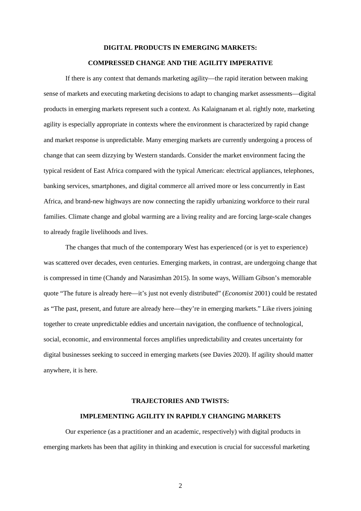#### **DIGITAL PRODUCTS IN EMERGING MARKETS:**

## **COMPRESSED CHANGE AND THE AGILITY IMPERATIVE**

If there is any context that demands marketing agility—the rapid iteration between making sense of markets and executing marketing decisions to adapt to changing market assessments—digital products in emerging markets represent such a context. As Kalaignanam et al. rightly note, marketing agility is especially appropriate in contexts where the environment is characterized by rapid change and market response is unpredictable. Many emerging markets are currently undergoing a process of change that can seem dizzying by Western standards. Consider the market environment facing the typical resident of East Africa compared with the typical American: electrical appliances, telephones, banking services, smartphones, and digital commerce all arrived more or less concurrently in East Africa, and brand-new highways are now connecting the rapidly urbanizing workforce to their rural families. Climate change and global warming are a living reality and are forcing large-scale changes to already fragile livelihoods and lives.

The changes that much of the contemporary West has experienced (or is yet to experience) was scattered over decades, even centuries. Emerging markets, in contrast, are undergoing change that is compressed in time (Chandy and Narasimhan 2015). In some ways, William Gibson's memorable quote "The future is already here—it's just not evenly distributed" (*Economist* 2001) could be restated as "The past, present, and future are already here—they're in emerging markets." Like rivers joining together to create unpredictable eddies and uncertain navigation, the confluence of technological, social, economic, and environmental forces amplifies unpredictability and creates uncertainty for digital businesses seeking to succeed in emerging markets (see Davies 2020). If agility should matter anywhere, it is here.

#### **TRAJECTORIES AND TWISTS:**

### **IMPLEMENTING AGILITY IN RAPIDLY CHANGING MARKETS**

Our experience (as a practitioner and an academic, respectively) with digital products in emerging markets has been that agility in thinking and execution is crucial for successful marketing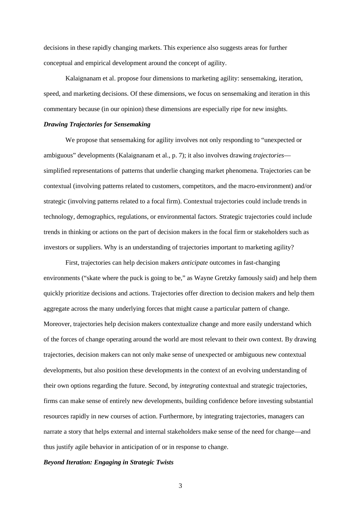decisions in these rapidly changing markets. This experience also suggests areas for further conceptual and empirical development around the concept of agility.

Kalaignanam et al. propose four dimensions to marketing agility: sensemaking, iteration, speed, and marketing decisions. Of these dimensions, we focus on sensemaking and iteration in this commentary because (in our opinion) these dimensions are especially ripe for new insights.

### *Drawing Trajectories for Sensemaking*

We propose that sensemaking for agility involves not only responding to "unexpected or ambiguous" developments (Kalaignanam et al., p. 7); it also involves drawing *trajectories* simplified representations of patterns that underlie changing market phenomena. Trajectories can be contextual (involving patterns related to customers, competitors, and the macro-environment) and/or strategic (involving patterns related to a focal firm). Contextual trajectories could include trends in technology, demographics, regulations, or environmental factors. Strategic trajectories could include trends in thinking or actions on the part of decision makers in the focal firm or stakeholders such as investors or suppliers. Why is an understanding of trajectories important to marketing agility?

First, trajectories can help decision makers *anticipate* outcomes in fast-changing environments ("skate where the puck is going to be," as Wayne Gretzky famously said) and help them quickly prioritize decisions and actions. Trajectories offer direction to decision makers and help them aggregate across the many underlying forces that might cause a particular pattern of change. Moreover, trajectories help decision makers contextualize change and more easily understand which of the forces of change operating around the world are most relevant to their own context. By drawing trajectories, decision makers can not only make sense of unexpected or ambiguous new contextual developments, but also position these developments in the context of an evolving understanding of their own options regarding the future. Second, by *integrating* contextual and strategic trajectories, firms can make sense of entirely new developments, building confidence before investing substantial resources rapidly in new courses of action. Furthermore, by integrating trajectories, managers can narrate a story that helps external and internal stakeholders make sense of the need for change—and thus justify agile behavior in anticipation of or in response to change.

## *Beyond Iteration: Engaging in Strategic Twists*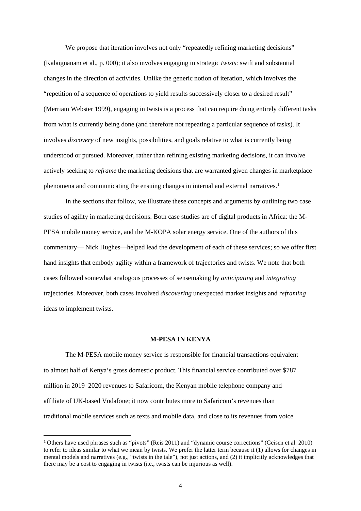We propose that iteration involves not only "repeatedly refining marketing decisions" (Kalaignanam et al., p. 000); it also involves engaging in strategic *twists*: swift and substantial changes in the direction of activities. Unlike the generic notion of iteration, which involves the "repetition of a sequence of operations to yield results successively closer to a desired result" (Merriam Webster 1999), engaging in twists is a process that can require doing entirely different tasks from what is currently being done (and therefore not repeating a particular sequence of tasks). It involves *discovery* of new insights, possibilities, and goals relative to what is currently being understood or pursued. Moreover, rather than refining existing marketing decisions, it can involve actively seeking to *reframe* the marketing decisions that are warranted given changes in marketplace phenomena and communicating the ensuing changes in internal and external narratives.<sup>[1](#page-5-0)</sup>

In the sections that follow, we illustrate these concepts and arguments by outlining two case studies of agility in marketing decisions. Both case studies are of digital products in Africa: the M-PESA mobile money service, and the M-KOPA solar energy service. One of the authors of this commentary— Nick Hughes—helped lead the development of each of these services; so we offer first hand insights that embody agility within a framework of trajectories and twists. We note that both cases followed somewhat analogous processes of sensemaking by *anticipating* and *integrating* trajectories. Moreover, both cases involved *discovering* unexpected market insights and *reframing* ideas to implement twists.

# **M-PESA IN KENYA**

The M-PESA mobile money service is responsible for financial transactions equivalent to almost half of Kenya's gross domestic product. This financial service contributed over \$787 million in 2019–2020 revenues to Safaricom, the Kenyan mobile telephone company and affiliate of UK-based Vodafone; it now contributes more to Safaricom's revenues than traditional mobile services such as texts and mobile data, and close to its revenues from voice

<span id="page-5-0"></span><sup>1</sup> Others have used phrases such as "pivots" (Reis 2011) and "dynamic course corrections" (Geisen et al. 2010) to refer to ideas similar to what we mean by twists. We prefer the latter term because it (1) allows for changes in mental models and narratives (e.g., "twists in the tale"), not just actions, and (2) it implicitly acknowledges that there may be a cost to engaging in twists (i.e., twists can be injurious as well).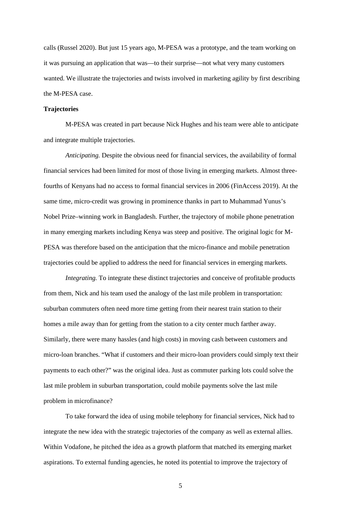calls (Russel 2020). But just 15 years ago, M-PESA was a prototype, and the team working on it was pursuing an application that was—to their surprise—not what very many customers wanted. We illustrate the trajectories and twists involved in marketing agility by first describing the M-PESA case.

# **Trajectories**

M-PESA was created in part because Nick Hughes and his team were able to anticipate and integrate multiple trajectories.

*Anticipating.* Despite the obvious need for financial services, the availability of formal financial services had been limited for most of those living in emerging markets. Almost threefourths of Kenyans had no access to formal financial services in 2006 (FinAccess 2019). At the same time, micro-credit was growing in prominence thanks in part to Muhammad Yunus's Nobel Prize–winning work in Bangladesh. Further, the trajectory of mobile phone penetration in many emerging markets including Kenya was steep and positive. The original logic for M-PESA was therefore based on the anticipation that the micro-finance and mobile penetration trajectories could be applied to address the need for financial services in emerging markets.

*Integrating.* To integrate these distinct trajectories and conceive of profitable products from them, Nick and his team used the analogy of the last mile problem in transportation: suburban commuters often need more time getting from their nearest train station to their homes a mile away than for getting from the station to a city center much farther away. Similarly, there were many hassles (and high costs) in moving cash between customers and micro-loan branches. "What if customers and their micro-loan providers could simply text their payments to each other?" was the original idea. Just as commuter parking lots could solve the last mile problem in suburban transportation, could mobile payments solve the last mile problem in microfinance?

To take forward the idea of using mobile telephony for financial services, Nick had to integrate the new idea with the strategic trajectories of the company as well as external allies. Within Vodafone, he pitched the idea as a growth platform that matched its emerging market aspirations. To external funding agencies, he noted its potential to improve the trajectory of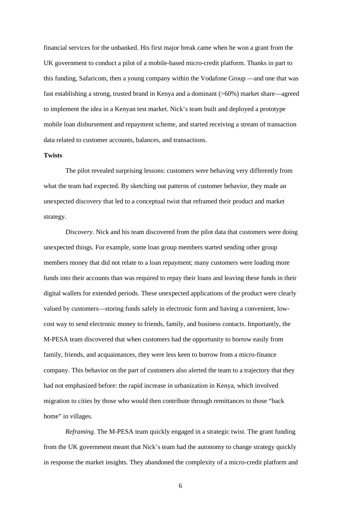financial services for the unbanked. His first major break came when he won a grant from the UK government to conduct a pilot of a mobile-based micro-credit platform. Thanks in part to this funding, Safaricom, then a young company within the Vodafone Group —and one that was fast establishing a strong, trusted brand in Kenya and a dominant (>60%) market share—agreed to implement the idea in a Kenyan test market. Nick's team built and deployed a prototype mobile loan disbursement and repayment scheme, and started receiving a stream of transaction data related to customer accounts, balances, and transactions.

#### **Twists**

The pilot revealed surprising lessons: customers were behaving very differently from what the team had expected. By sketching out patterns of customer behavior, they made an unexpected discovery that led to a conceptual twist that reframed their product and market strategy.

*Discovery.* Nick and his team discovered from the pilot data that customers were doing unexpected things. For example, some loan group members started sending other group members money that did not relate to a loan repayment; many customers were loading more funds into their accounts than was required to repay their loans and leaving these funds in their digital wallets for extended periods. These unexpected applications of the product were clearly valued by customers—storing funds safely in electronic form and having a convenient, lowcost way to send electronic money to friends, family, and business contacts. Importantly, the M-PESA team discovered that when customers had the opportunity to borrow easily from family, friends, and acquaintances, they were less keen to borrow from a micro-finance company. This behavior on the part of customers also alerted the team to a trajectory that they had not emphasized before: the rapid increase in urbanization in Kenya, which involved migration to cities by those who would then contribute through remittances to those "back home" in villages.

*Reframing.* The M-PESA team quickly engaged in a strategic twist. The grant funding from the UK government meant that Nick's team had the autonomy to change strategy quickly in response the market insights. They abandoned the complexity of a micro-credit platform and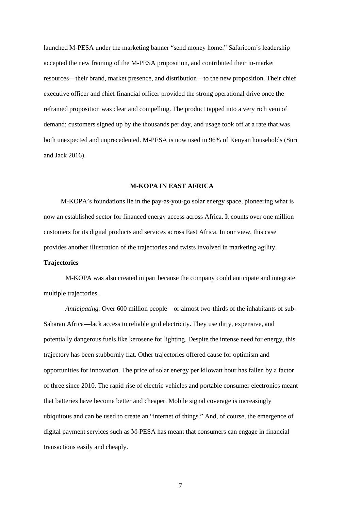launched M-PESA under the marketing banner "send money home." Safaricom's leadership accepted the new framing of the M-PESA proposition, and contributed their in-market resources—their brand, market presence, and distribution—to the new proposition. Their chief executive officer and chief financial officer provided the strong operational drive once the reframed proposition was clear and compelling. The product tapped into a very rich vein of demand; customers signed up by the thousands per day, and usage took off at a rate that was both unexpected and unprecedented. M-PESA is now used in 96% of Kenyan households (Suri and Jack 2016).

### **M-KOPA IN EAST AFRICA**

M-KOPA's foundations lie in the pay-as-you-go solar energy space, pioneering what is now an established sector for financed energy access across Africa. It counts over one million customers for its digital products and services across East Africa. In our view, this case provides another illustration of the trajectories and twists involved in marketing agility.

# **Trajectories**

M-KOPA was also created in part because the company could anticipate and integrate multiple trajectories.

*Anticipating.* Over 600 million people—or almost two-thirds of the inhabitants of sub-Saharan Africa—lack access to reliable grid electricity. They use dirty, expensive, and potentially dangerous fuels like kerosene for lighting. Despite the intense need for energy, this trajectory has been stubbornly flat. Other trajectories offered cause for optimism and opportunities for innovation. The price of solar energy per kilowatt hour has fallen by a factor of three since 2010. The rapid rise of electric vehicles and portable consumer electronics meant that batteries have become better and cheaper. Mobile signal coverage is increasingly ubiquitous and can be used to create an "internet of things." And, of course, the emergence of digital payment services such as M-PESA has meant that consumers can engage in financial transactions easily and cheaply.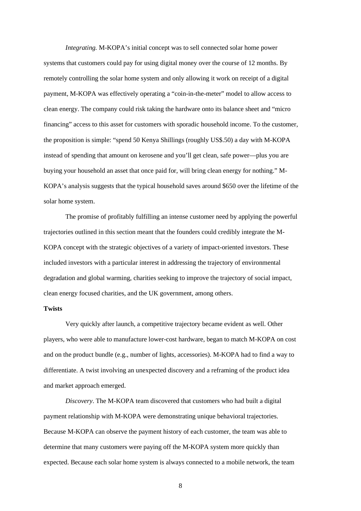*Integrating.* M-KOPA's initial concept was to sell connected solar home power systems that customers could pay for using digital money over the course of 12 months. By remotely controlling the solar home system and only allowing it work on receipt of a digital payment, M-KOPA was effectively operating a "coin-in-the-meter" model to allow access to clean energy. The company could risk taking the hardware onto its balance sheet and "micro financing" access to this asset for customers with sporadic household income. To the customer, the proposition is simple: "spend 50 Kenya Shillings (roughly US\$.50) a day with M-KOPA instead of spending that amount on kerosene and you'll get clean, safe power—plus you are buying your household an asset that once paid for, will bring clean energy for nothing." M-KOPA's analysis suggests that the typical household saves around \$650 over the lifetime of the solar home system.

The promise of profitably fulfilling an intense customer need by applying the powerful trajectories outlined in this section meant that the founders could credibly integrate the M-KOPA concept with the strategic objectives of a variety of impact-oriented investors. These included investors with a particular interest in addressing the trajectory of environmental degradation and global warming, charities seeking to improve the trajectory of social impact, clean energy focused charities, and the UK government, among others.

## **Twists**

Very quickly after launch, a competitive trajectory became evident as well. Other players, who were able to manufacture lower-cost hardware, began to match M-KOPA on cost and on the product bundle (e.g., number of lights, accessories). M-KOPA had to find a way to differentiate. A twist involving an unexpected discovery and a reframing of the product idea and market approach emerged.

*Discovery*. The M-KOPA team discovered that customers who had built a digital payment relationship with M-KOPA were demonstrating unique behavioral trajectories. Because M-KOPA can observe the payment history of each customer, the team was able to determine that many customers were paying off the M-KOPA system more quickly than expected. Because each solar home system is always connected to a mobile network, the team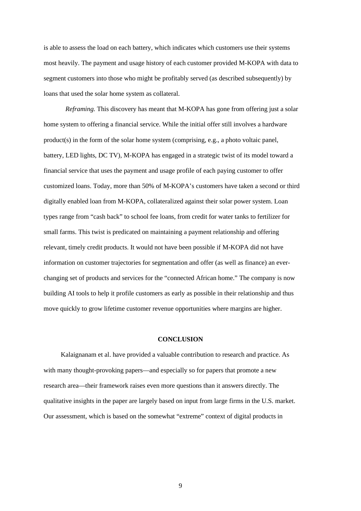is able to assess the load on each battery, which indicates which customers use their systems most heavily. The payment and usage history of each customer provided M-KOPA with data to segment customers into those who might be profitably served (as described subsequently) by loans that used the solar home system as collateral.

*Reframing.* This discovery has meant that M-KOPA has gone from offering just a solar home system to offering a financial service. While the initial offer still involves a hardware product(s) in the form of the solar home system (comprising, e.g., a photo voltaic panel, battery, LED lights, DC TV), M-KOPA has engaged in a strategic twist of its model toward a financial service that uses the payment and usage profile of each paying customer to offer customized loans. Today, more than 50% of M-KOPA's customers have taken a second or third digitally enabled loan from M-KOPA, collateralized against their solar power system. Loan types range from "cash back" to school fee loans, from credit for water tanks to fertilizer for small farms. This twist is predicated on maintaining a payment relationship and offering relevant, timely credit products. It would not have been possible if M-KOPA did not have information on customer trajectories for segmentation and offer (as well as finance) an everchanging set of products and services for the "connected African home." The company is now building AI tools to help it profile customers as early as possible in their relationship and thus move quickly to grow lifetime customer revenue opportunities where margins are higher.

#### **CONCLUSION**

Kalaignanam et al. have provided a valuable contribution to research and practice. As with many thought-provoking papers—and especially so for papers that promote a new research area—their framework raises even more questions than it answers directly. The qualitative insights in the paper are largely based on input from large firms in the U.S. market. Our assessment, which is based on the somewhat "extreme" context of digital products in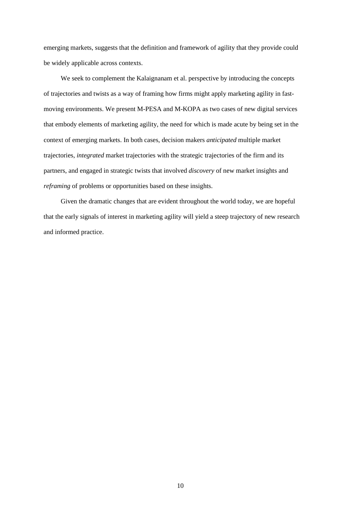emerging markets, suggests that the definition and framework of agility that they provide could be widely applicable across contexts.

We seek to complement the Kalaignanam et al. perspective by introducing the concepts of trajectories and twists as a way of framing how firms might apply marketing agility in fastmoving environments. We present M-PESA and M-KOPA as two cases of new digital services that embody elements of marketing agility, the need for which is made acute by being set in the context of emerging markets. In both cases, decision makers *anticipated* multiple market trajectories, *integrated* market trajectories with the strategic trajectories of the firm and its partners, and engaged in strategic twists that involved *discovery* of new market insights and *reframing* of problems or opportunities based on these insights.

Given the dramatic changes that are evident throughout the world today, we are hopeful that the early signals of interest in marketing agility will yield a steep trajectory of new research and informed practice.